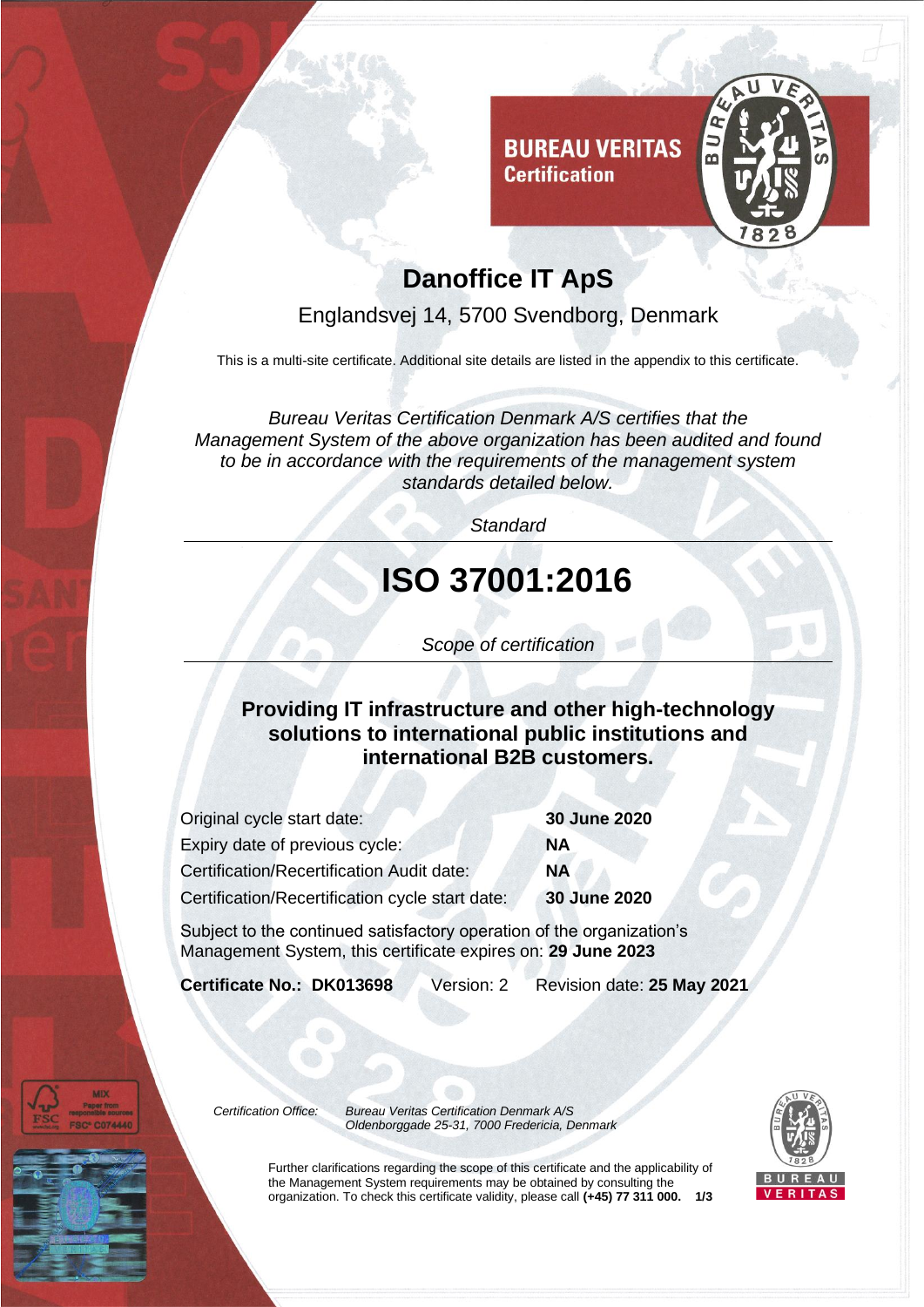



## **Danoffice IT ApS**

Englandsvej 14, 5700 Svendborg, Denmark

This is a multi-site certificate. Additional site details are listed in the appendix to this certificate.

*Bureau Veritas Certification Denmark A/S certifies that the Management System of the above organization has been audited and found to be in accordance with the requirements of the management system standards detailed below.*

*Standard*

# **ISO 37001:2016**

*Scope of certification*

**Providing IT infrastructure and other high-technology solutions to international public institutions and international B2B customers.**

| Original cycle start date:                       | 30 June 2020 |
|--------------------------------------------------|--------------|
| Expiry date of previous cycle:                   | NΑ           |
| <b>Certification/Recertification Audit date:</b> | <b>NA</b>    |
| Certification/Recertification cycle start date:  | 30 June 2020 |
|                                                  |              |

Subject to the continued satisfactory operation of the organization's Management System, this certificate expires on: **29 June 2023**

**Certificate No.: DK013698** Version: 2 Revision date: **25 May 2021**

*Certification Office: Bureau Veritas Certification Denmark A/S Oldenborggade 25-31, 7000 Fredericia, Denmark*



Further clarifications regarding the scope of this certificate and the applicability of the Management System requirements may be obtained by consulting the organization. To check this certificate validity, please call **(+45) 77 311 000. 1/3**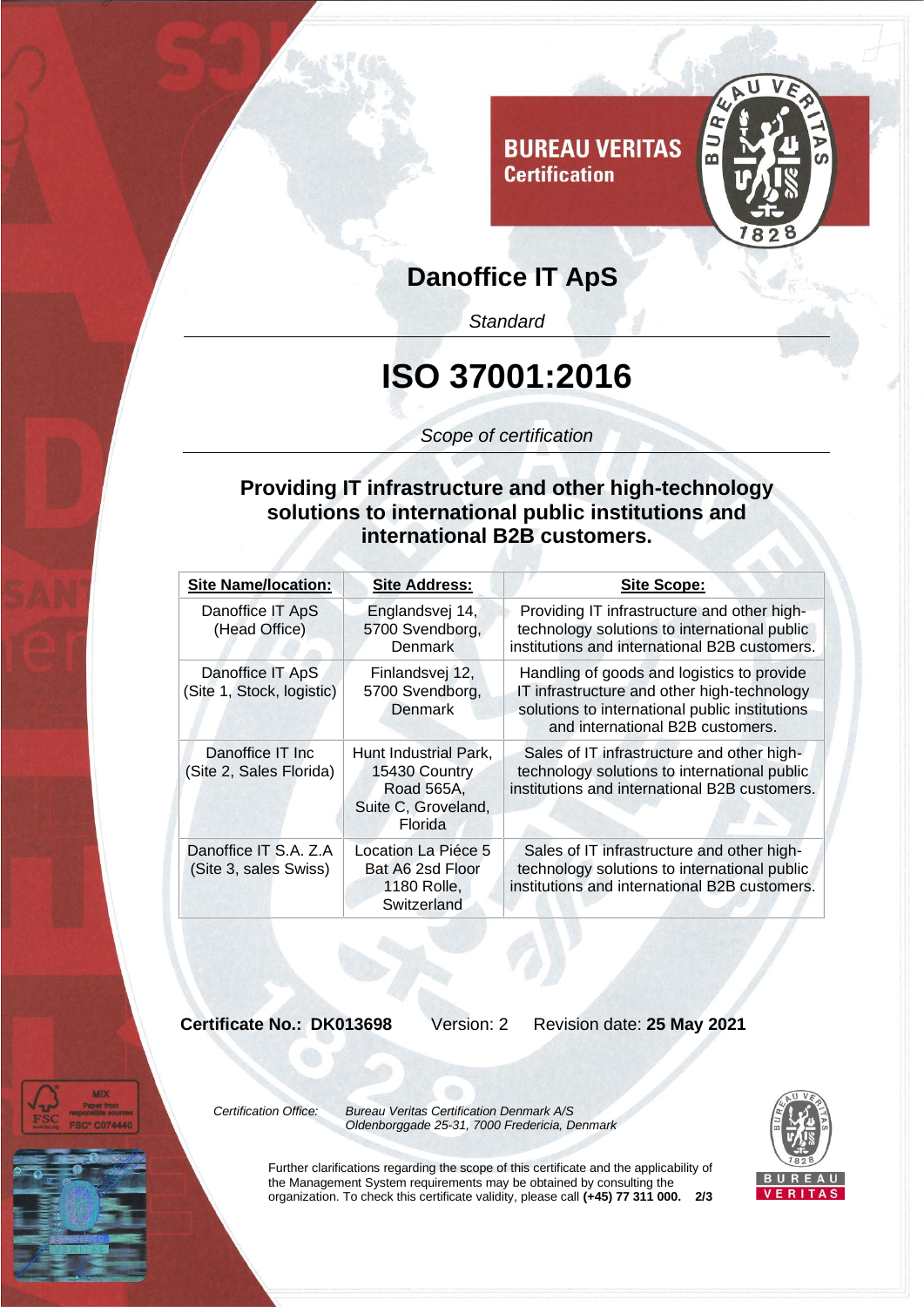

### **Danoffice IT ApS**

*Standard*

## **ISO 37001:2016**

*Scope of certification*

#### **Providing IT infrastructure and other high-technology solutions to international public institutions and international B2B customers.**

| <b>Site Name/location:</b>                     | <b>Site Address:</b>                                                                   | Site Scope:                                                                                                                                                                     |
|------------------------------------------------|----------------------------------------------------------------------------------------|---------------------------------------------------------------------------------------------------------------------------------------------------------------------------------|
| Danoffice IT ApS<br>(Head Office)              | Englandsvej 14,<br>5700 Svendborg,<br>Denmark                                          | Providing IT infrastructure and other high-<br>technology solutions to international public<br>institutions and international B2B customers.                                    |
| Danoffice IT ApS<br>(Site 1, Stock, logistic)  | Finlandsvej 12,<br>5700 Svendborg,<br>Denmark                                          | Handling of goods and logistics to provide<br>IT infrastructure and other high-technology<br>solutions to international public institutions<br>and international B2B customers. |
| Danoffice IT Inc<br>(Site 2, Sales Florida)    | Hunt Industrial Park.<br>15430 Country<br>Road 565A,<br>Suite C, Groveland,<br>Florida | Sales of IT infrastructure and other high-<br>technology solutions to international public<br>institutions and international B2B customers.                                     |
| Danoffice IT S.A. Z.A<br>(Site 3, sales Swiss) | Location La Piéce 5<br>Bat A6 2sd Floor<br>1180 Rolle,<br>Switzerland                  | Sales of IT infrastructure and other high-<br>technology solutions to international public<br>institutions and international B2B customers.                                     |

**Certificate No.: DK013698** Version: 2 Revision date: **25 May 2021**



*Certification Office: Bureau Veritas Certification Denmark A/S Oldenborggade 25-31, 7000 Fredericia, Denmark*



Further clarifications regarding the scope of this certificate and the applicability of the Management System requirements may be obtained by consulting the organization. To check this certificate validity, please call **(+45) 77 311 000. 2/3**